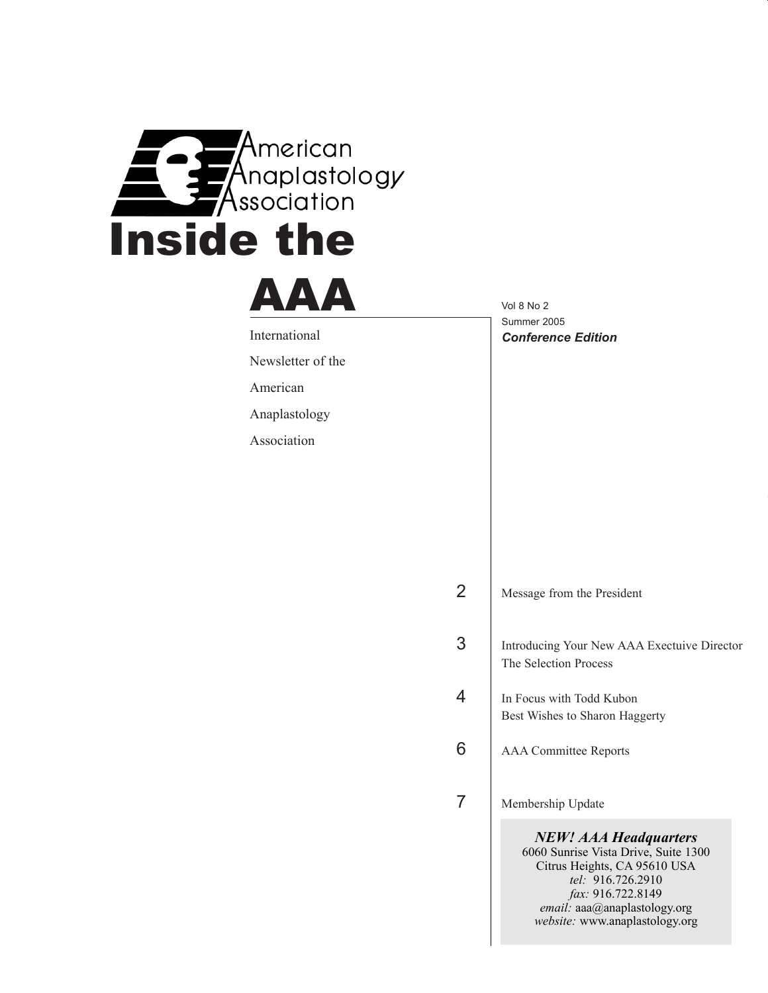

# AAA

International

Newsletter of the

American

Anaplastology

Association

Vol 8 No 2 Summer 2005 *Conference Edition*

3 Introducing Your New AAA Exectuive Director The Selection Process

- 4 In Focus with Todd Kubon Best Wishes to Sharon Haggerty
- 6 | AAA Committee Reports

7 | Membership Update

*NEW! AAA Headquarters* 6060 Sunrise Vista Drive, Suite 1300 Citrus Heights, CA 95610 USA *tel:* 916.726.2910 *fax:* 916.722.8149 *email:* aaa@anaplastology.org *website:* www.anaplastology.org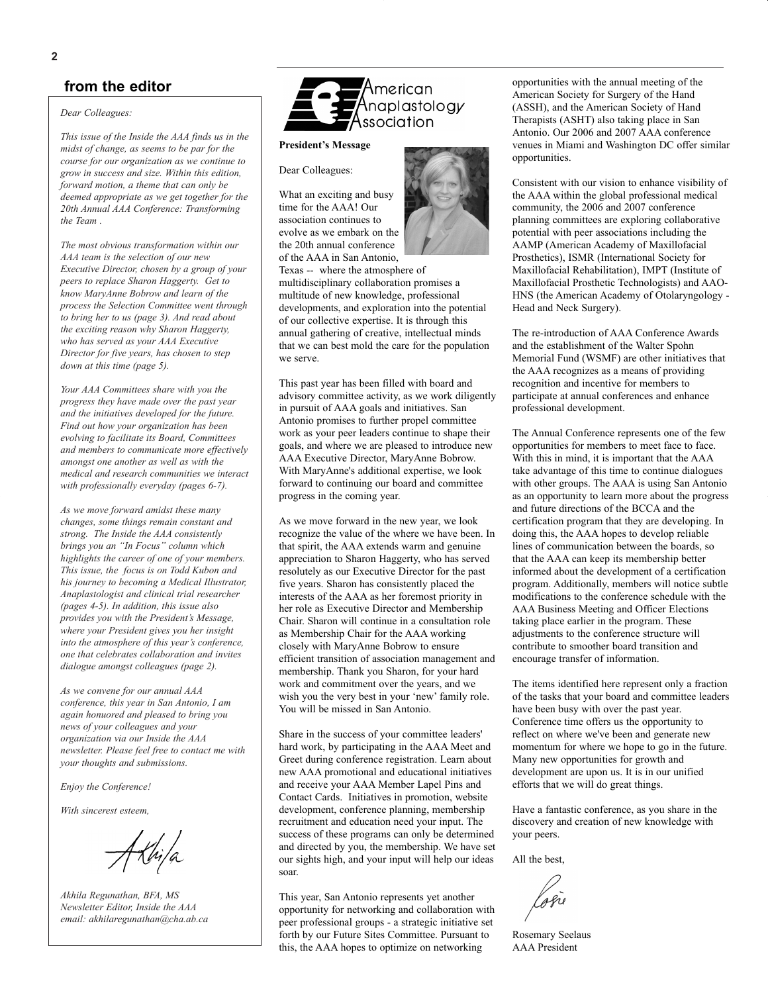*Dear Colleagues:*

*This issue of the Inside the AAA finds us in the midst of change, as seems to be par for the course for our organization as we continue to grow in success and size. Within this edition, forward motion, a theme that can only be deemed appropriate as we get together for the 20th Annual AAA Conference: Transforming the Team .*

*The most obvious transformation within our AAA team is the selection of our new Executive Director, chosen by a group of your peers to replace Sharon Haggerty. Get to know MaryAnne Bobrow and learn of the process the Selection Committee went through to bring her to us (page 3). And read about the exciting reason why Sharon Haggerty, who has served as your AAA Executive Director for five years, has chosen to step down at this time (page 5).* 

*Your AAA Committees share with you the progress they have made over the past year and the initiatives developed for the future. Find out how your organization has been evolving to facilitate its Board, Committees and members to communicate more effectively amongst one another as well as with the medical and research communities we interact with professionally everyday (pages 6-7).*

*As we move forward amidst these many changes, some things remain constant and strong. The Inside the AAA consistently brings you an "In Focus" column which highlights the career of one of your members. This issue, the focus is on Todd Kubon and his journey to becoming a Medical Illustrator, Anaplastologist and clinical trial researcher (pages 4-5). In addition, this issue also provides you with the President's Message, where your President gives you her insight into the atmosphere of this year's conference, one that celebrates collaboration and invites dialogue amongst colleagues (page 2).*

*As we convene for our annual AAA conference, this year in San Antonio, I am again honuored and pleased to bring you news of your colleagues and your organization via our Inside the AAA newsletter. Please feel free to contact me with your thoughts and submissions.* 

*Enjoy the Conference!*

*With sincerest esteem,*

*Akhila Regunathan, BFA, MS Newsletter Editor, Inside the AAA email: akhilaregunathan@cha.ab.ca*



#### **President's Message**

Dear Colleagues:

What an exciting and busy time for the AAA! Our association continues to evolve as we embark on the the 20th annual conference of the AAA in San Antonio,

Texas -- where the atmosphere of multidisciplinary collaboration promises a multitude of new knowledge, professional developments, and exploration into the potential of our collective expertise. It is through this annual gathering of creative, intellectual minds that we can best mold the care for the population we serve.

This past year has been filled with board and advisory committee activity, as we work diligently in pursuit of AAA goals and initiatives. San Antonio promises to further propel committee work as your peer leaders continue to shape their goals, and where we are pleased to introduce new AAA Executive Director, MaryAnne Bobrow. With MaryAnne's additional expertise, we look forward to continuing our board and committee progress in the coming year.

As we move forward in the new year, we look recognize the value of the where we have been. In that spirit, the AAA extends warm and genuine appreciation to Sharon Haggerty, who has served resolutely as our Executive Director for the past five years. Sharon has consistently placed the interests of the AAA as her foremost priority in her role as Executive Director and Membership Chair. Sharon will continue in a consultation role as Membership Chair for the AAA working closely with MaryAnne Bobrow to ensure efficient transition of association management and membership. Thank you Sharon, for your hard work and commitment over the years, and we wish you the very best in your 'new' family role. You will be missed in San Antonio.

Share in the success of your committee leaders' hard work, by participating in the AAA Meet and Greet during conference registration. Learn about new AAA promotional and educational initiatives and receive your AAA Member Lapel Pins and Contact Cards. Initiatives in promotion, website development, conference planning, membership recruitment and education need your input. The success of these programs can only be determined and directed by you, the membership. We have set our sights high, and your input will help our ideas soar.

This year, San Antonio represents yet another opportunity for networking and collaboration with peer professional groups - a strategic initiative set forth by our Future Sites Committee. Pursuant to this, the AAA hopes to optimize on networking

opportunities with the annual meeting of the American Society for Surgery of the Hand (ASSH), and the American Society of Hand Therapists (ASHT) also taking place in San Antonio. Our 2006 and 2007 AAA conference venues in Miami and Washington DC offer similar opportunities.

Consistent with our vision to enhance visibility of the AAA within the global professional medical community, the 2006 and 2007 conference planning committees are exploring collaborative potential with peer associations including the AAMP (American Academy of Maxillofacial Prosthetics), ISMR (International Society for Maxillofacial Rehabilitation), IMPT (Institute of Maxillofacial Prosthetic Technologists) and AAO-HNS (the American Academy of Otolaryngology - Head and Neck Surgery).

The re-introduction of AAA Conference Awards and the establishment of the Walter Spohn Memorial Fund (WSMF) are other initiatives that the AAA recognizes as a means of providing recognition and incentive for members to participate at annual conferences and enhance professional development.

The Annual Conference represents one of the few opportunities for members to meet face to face. With this in mind, it is important that the AAA take advantage of this time to continue dialogues with other groups. The AAA is using San Antonio as an opportunity to learn more about the progress and future directions of the BCCA and the certification program that they are developing. In doing this, the AAA hopes to develop reliable lines of communication between the boards, so that the AAA can keep its membership better informed about the development of a certification program. Additionally, members will notice subtle modifications to the conference schedule with the AAA Business Meeting and Officer Elections taking place earlier in the program. These adjustments to the conference structure will contribute to smoother board transition and encourage transfer of information.

The items identified here represent only a fraction of the tasks that your board and committee leaders have been busy with over the past year. Conference time offers us the opportunity to reflect on where we've been and generate new momentum for where we hope to go in the future. Many new opportunities for growth and development are upon us. It is in our unified efforts that we will do great things.

Have a fantastic conference, as you share in the discovery and creation of new knowledge with your peers.

All the best,

losie

Rosemary Seelaus AAA President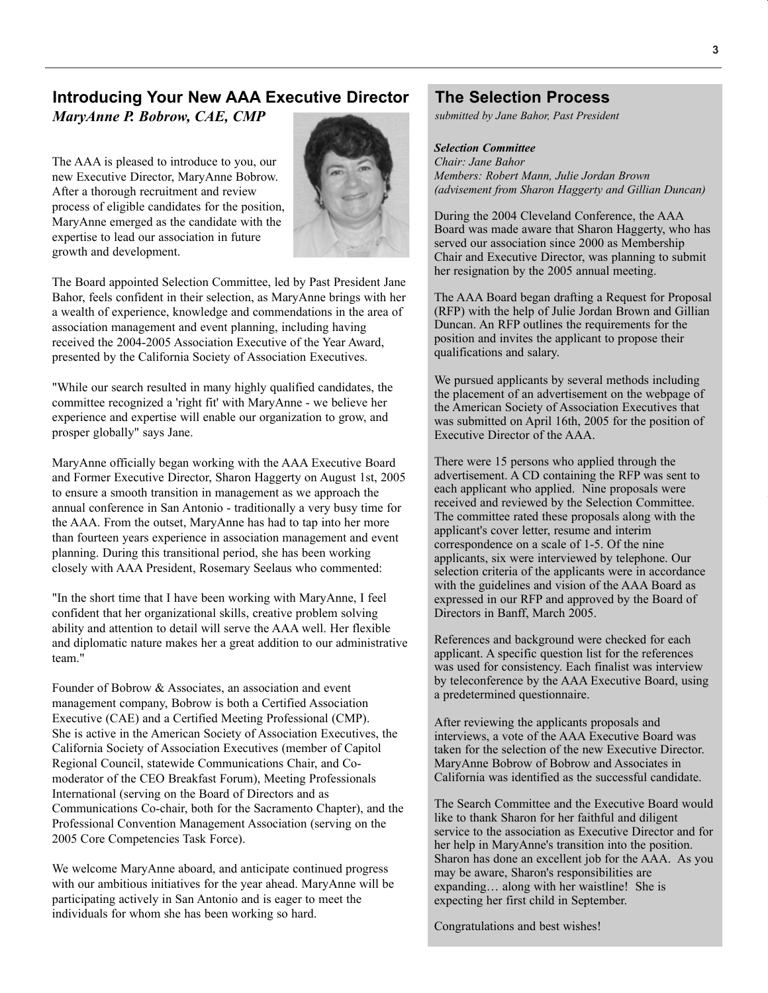# **Introducing Your New AAA Executive Director**

*MaryAnne P. Bobrow, CAE, CMP*

The AAA is pleased to introduce to you, our new Executive Director, MaryAnne Bobrow. After a thorough recruitment and review process of eligible candidates for the position, MaryAnne emerged as the candidate with the expertise to lead our association in future growth and development.



The Board appointed Selection Committee, led by Past President Jane Bahor, feels confident in their selection, as MaryAnne brings with her a wealth of experience, knowledge and commendations in the area of association management and event planning, including having received the 2004-2005 Association Executive of the Year Award, presented by the California Society of Association Executives.

"While our search resulted in many highly qualified candidates, the committee recognized a 'right fit' with MaryAnne - we believe her experience and expertise will enable our organization to grow, and prosper globally" says Jane.

MaryAnne officially began working with the AAA Executive Board and Former Executive Director, Sharon Haggerty on August 1st, 2005 to ensure a smooth transition in management as we approach the annual conference in San Antonio - traditionally a very busy time for the AAA. From the outset, MaryAnne has had to tap into her more than fourteen years experience in association management and event planning. During this transitional period, she has been working closely with AAA President, Rosemary Seelaus who commented:

"In the short time that I have been working with MaryAnne, I feel confident that her organizational skills, creative problem solving ability and attention to detail will serve the AAA well. Her flexible and diplomatic nature makes her a great addition to our administrative team."

Founder of Bobrow & Associates, an association and event management company, Bobrow is both a Certified Association Executive (CAE) and a Certified Meeting Professional (CMP). She is active in the American Society of Association Executives, the California Society of Association Executives (member of Capitol Regional Council, statewide Communications Chair, and Comoderator of the CEO Breakfast Forum), Meeting Professionals International (serving on the Board of Directors and as Communications Co-chair, both for the Sacramento Chapter), and the Professional Convention Management Association (serving on the 2005 Core Competencies Task Force).

We welcome MaryAnne aboard, and anticipate continued progress with our ambitious initiatives for the year ahead. MaryAnne will be participating actively in San Antonio and is eager to meet the individuals for whom she has been working so hard.

## **The Selection Process**

*submitted by Jane Bahor, Past President*

#### *Selection Committee*

*Chair: Jane Bahor Members: Robert Mann, Julie Jordan Brown (advisement from Sharon Haggerty and Gillian Duncan)*

During the 2004 Cleveland Conference, the AAA Board was made aware that Sharon Haggerty, who has served our association since 2000 as Membership Chair and Executive Director, was planning to submit her resignation by the 2005 annual meeting.

The AAA Board began drafting a Request for Proposal (RFP) with the help of Julie Jordan Brown and Gillian Duncan. An RFP outlines the requirements for the position and invites the applicant to propose their qualifications and salary.

We pursued applicants by several methods including the placement of an advertisement on the webpage of the American Society of Association Executives that was submitted on April 16th, 2005 for the position of Executive Director of the AAA.

There were 15 persons who applied through the advertisement. A CD containing the RFP was sent to each applicant who applied. Nine proposals were received and reviewed by the Selection Committee. The committee rated these proposals along with the applicant's cover letter, resume and interim correspondence on a scale of 1-5. Of the nine applicants, six were interviewed by telephone. Our selection criteria of the applicants were in accordance with the guidelines and vision of the AAA Board as expressed in our RFP and approved by the Board of Directors in Banff, March 2005.

References and background were checked for each applicant. A specific question list for the references was used for consistency. Each finalist was interview by teleconference by the AAA Executive Board, using a predetermined questionnaire.

After reviewing the applicants proposals and interviews, a vote of the AAA Executive Board was taken for the selection of the new Executive Director. MaryAnne Bobrow of Bobrow and Associates in California was identified as the successful candidate.

The Search Committee and the Executive Board would like to thank Sharon for her faithful and diligent service to the association as Executive Director and for her help in MaryAnne's transition into the position. Sharon has done an excellent job for the AAA. As you may be aware, Sharon's responsibilities are expanding… along with her waistline! She is expecting her first child in September.

Congratulations and best wishes!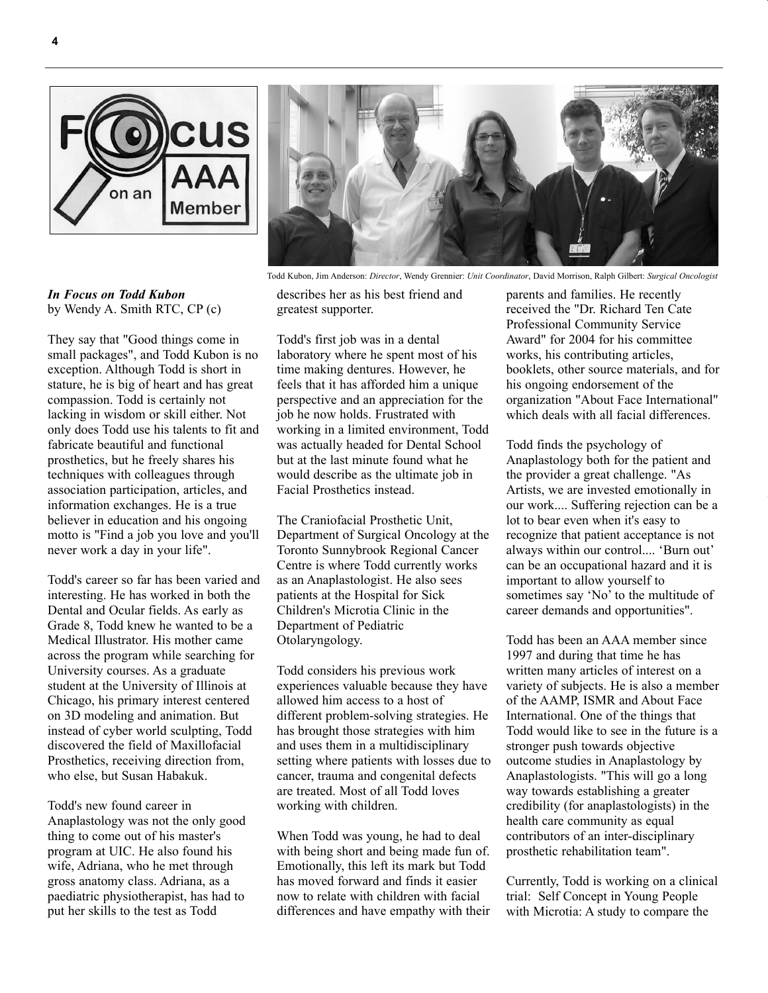



They say that "Good things come in small packages", and Todd Kubon is no exception. Although Todd is short in stature, he is big of heart and has great compassion. Todd is certainly not lacking in wisdom or skill either. Not only does Todd use his talents to fit and fabricate beautiful and functional prosthetics, but he freely shares his techniques with colleagues through association participation, articles, and information exchanges. He is a true believer in education and his ongoing motto is "Find a job you love and you'll never work a day in your life".

Todd's career so far has been varied and interesting. He has worked in both the Dental and Ocular fields. As early as Grade 8, Todd knew he wanted to be a Medical Illustrator. His mother came across the program while searching for University courses. As a graduate student at the University of Illinois at Chicago, his primary interest centered on 3D modeling and animation. But instead of cyber world sculpting, Todd discovered the field of Maxillofacial Prosthetics, receiving direction from, who else, but Susan Habakuk.

Todd's new found career in Anaplastology was not the only good thing to come out of his master's program at UIC. He also found his wife, Adriana, who he met through gross anatomy class. Adriana, as a paediatric physiotherapist, has had to put her skills to the test as Todd



Todd Kubon, Jim Anderson: *Director*, Wendy Grennier: *Unit Coordinator*, David Morrison, Ralph Gilbert: *Surgical Oncologist*

describes her as his best friend and greatest supporter.

Todd's first job was in a dental laboratory where he spent most of his time making dentures. However, he feels that it has afforded him a unique perspective and an appreciation for the job he now holds. Frustrated with working in a limited environment, Todd was actually headed for Dental School but at the last minute found what he would describe as the ultimate job in Facial Prosthetics instead.

The Craniofacial Prosthetic Unit, Department of Surgical Oncology at the Toronto Sunnybrook Regional Cancer Centre is where Todd currently works as an Anaplastologist. He also sees patients at the Hospital for Sick Children's Microtia Clinic in the Department of Pediatric Otolaryngology.

Todd considers his previous work experiences valuable because they have allowed him access to a host of different problem-solving strategies. He has brought those strategies with him and uses them in a multidisciplinary setting where patients with losses due to cancer, trauma and congenital defects are treated. Most of all Todd loves working with children.

When Todd was young, he had to deal with being short and being made fun of. Emotionally, this left its mark but Todd has moved forward and finds it easier now to relate with children with facial differences and have empathy with their parents and families. He recently received the "Dr. Richard Ten Cate Professional Community Service Award" for 2004 for his committee works, his contributing articles, booklets, other source materials, and for his ongoing endorsement of the organization "About Face International" which deals with all facial differences.

Todd finds the psychology of Anaplastology both for the patient and the provider a great challenge. "As Artists, we are invested emotionally in our work.... Suffering rejection can be a lot to bear even when it's easy to recognize that patient acceptance is not always within our control.... 'Burn out' can be an occupational hazard and it is important to allow yourself to sometimes say 'No' to the multitude of career demands and opportunities".

Todd has been an AAA member since 1997 and during that time he has written many articles of interest on a variety of subjects. He is also a member of the AAMP, ISMR and About Face International. One of the things that Todd would like to see in the future is a stronger push towards objective outcome studies in Anaplastology by Anaplastologists. "This will go a long way towards establishing a greater credibility (for anaplastologists) in the health care community as equal contributors of an inter-disciplinary prosthetic rehabilitation team".

Currently, Todd is working on a clinical trial: Self Concept in Young People with Microtia: A study to compare the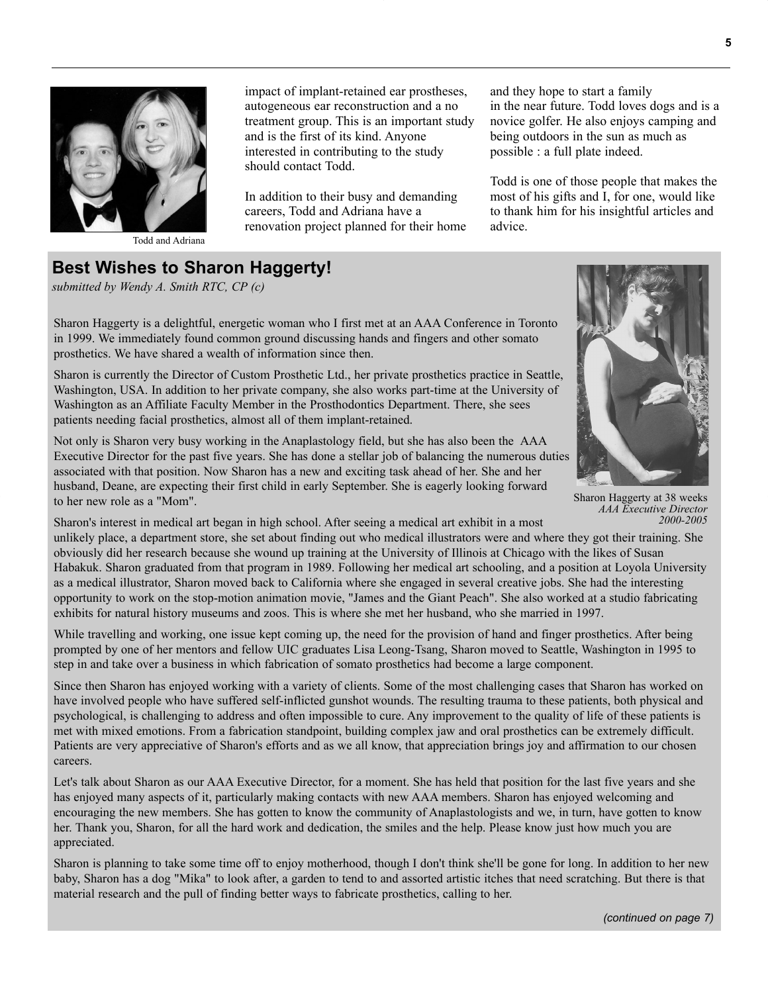

Todd and Adriana

impact of implant-retained ear prostheses, autogeneous ear reconstruction and a no treatment group. This is an important study and is the first of its kind. Anyone interested in contributing to the study should contact Todd.

In addition to their busy and demanding careers, Todd and Adriana have a renovation project planned for their home and they hope to start a family in the near future. Todd loves dogs and is a novice golfer. He also enjoys camping and being outdoors in the sun as much as possible : a full plate indeed.

Todd is one of those people that makes the most of his gifts and I, for one, would like to thank him for his insightful articles and advice.

# **Best Wishes to Sharon Haggerty!**

*submitted by Wendy A. Smith RTC, CP (c)* 

Sharon Haggerty is a delightful, energetic woman who I first met at an AAA Conference in Toronto in 1999. We immediately found common ground discussing hands and fingers and other somato prosthetics. We have shared a wealth of information since then.

Sharon is currently the Director of Custom Prosthetic Ltd., her private prosthetics practice in Seattle, Washington, USA. In addition to her private company, she also works part-time at the University of Washington as an Affiliate Faculty Member in the Prosthodontics Department. There, she sees patients needing facial prosthetics, almost all of them implant-retained.

Not only is Sharon very busy working in the Anaplastology field, but she has also been the AAA Executive Director for the past five years. She has done a stellar job of balancing the numerous duties associated with that position. Now Sharon has a new and exciting task ahead of her. She and her husband, Deane, are expecting their first child in early September. She is eagerly looking forward to her new role as a "Mom".



Sharon Haggerty at 38 weeks *AAA Executive Director 2000-2005*

Sharon's interest in medical art began in high school. After seeing a medical art exhibit in a most unlikely place, a department store, she set about finding out who medical illustrators were and where they got their training. She obviously did her research because she wound up training at the University of Illinois at Chicago with the likes of Susan Habakuk. Sharon graduated from that program in 1989. Following her medical art schooling, and a position at Loyola University as a medical illustrator, Sharon moved back to California where she engaged in several creative jobs. She had the interesting opportunity to work on the stop-motion animation movie, "James and the Giant Peach". She also worked at a studio fabricating exhibits for natural history museums and zoos. This is where she met her husband, who she married in 1997.

While travelling and working, one issue kept coming up, the need for the provision of hand and finger prosthetics. After being prompted by one of her mentors and fellow UIC graduates Lisa Leong-Tsang, Sharon moved to Seattle, Washington in 1995 to step in and take over a business in which fabrication of somato prosthetics had become a large component.

Since then Sharon has enjoyed working with a variety of clients. Some of the most challenging cases that Sharon has worked on have involved people who have suffered self-inflicted gunshot wounds. The resulting trauma to these patients, both physical and psychological, is challenging to address and often impossible to cure. Any improvement to the quality of life of these patients is met with mixed emotions. From a fabrication standpoint, building complex jaw and oral prosthetics can be extremely difficult. Patients are very appreciative of Sharon's efforts and as we all know, that appreciation brings joy and affirmation to our chosen careers.

Let's talk about Sharon as our AAA Executive Director, for a moment. She has held that position for the last five years and she has enjoyed many aspects of it, particularly making contacts with new AAA members. Sharon has enjoyed welcoming and encouraging the new members. She has gotten to know the community of Anaplastologists and we, in turn, have gotten to know her. Thank you, Sharon, for all the hard work and dedication, the smiles and the help. Please know just how much you are appreciated.

Sharon is planning to take some time off to enjoy motherhood, though I don't think she'll be gone for long. In addition to her new baby, Sharon has a dog "Mika" to look after, a garden to tend to and assorted artistic itches that need scratching. But there is that material research and the pull of finding better ways to fabricate prosthetics, calling to her.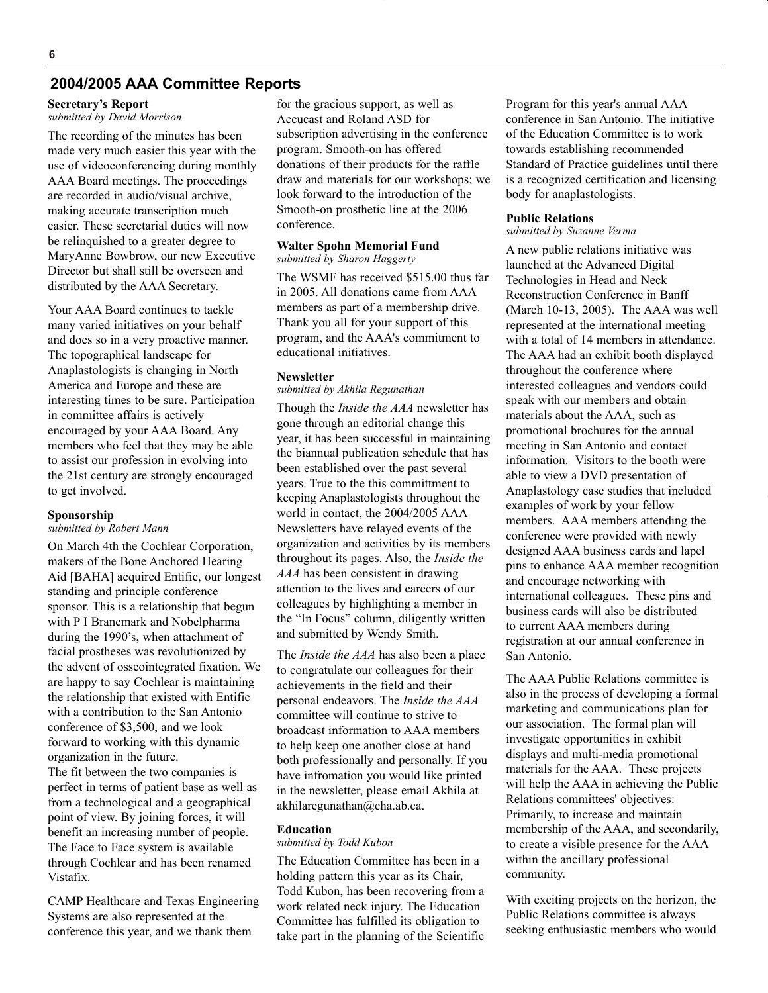### **2004/2005 AAA Committee Reports**

## **Secretary's Report**

*submitted by David Morrison*

The recording of the minutes has been made very much easier this year with the use of videoconferencing during monthly AAA Board meetings. The proceedings are recorded in audio/visual archive, making accurate transcription much easier. These secretarial duties will now be relinquished to a greater degree to MaryAnne Bowbrow, our new Executive Director but shall still be overseen and distributed by the AAA Secretary.

Your AAA Board continues to tackle many varied initiatives on your behalf and does so in a very proactive manner. The topographical landscape for Anaplastologists is changing in North America and Europe and these are interesting times to be sure. Participation in committee affairs is actively encouraged by your AAA Board. Any members who feel that they may be able to assist our profession in evolving into the 21st century are strongly encouraged to get involved.

#### **Sponsorship**

*submitted by Robert Mann*

On March 4th the Cochlear Corporation, makers of the Bone Anchored Hearing Aid [BAHA] acquired Entific, our longest standing and principle conference sponsor. This is a relationship that begun with P I Branemark and Nobelpharma during the 1990's, when attachment of facial prostheses was revolutionized by the advent of osseointegrated fixation. We are happy to say Cochlear is maintaining the relationship that existed with Entific with a contribution to the San Antonio conference of \$3,500, and we look forward to working with this dynamic organization in the future.

The fit between the two companies is perfect in terms of patient base as well as from a technological and a geographical point of view. By joining forces, it will benefit an increasing number of people. The Face to Face system is available through Cochlear and has been renamed Vistafix.

CAMP Healthcare and Texas Engineering Systems are also represented at the conference this year, and we thank them

for the gracious support, as well as Accucast and Roland ASD for subscription advertising in the conference program. Smooth-on has offered donations of their products for the raffle draw and materials for our workshops; we look forward to the introduction of the Smooth-on prosthetic line at the 2006 conference.

#### **Walter Spohn Memorial Fund** *submitted by Sharon Haggerty*

The WSMF has received \$515.00 thus far in 2005. All donations came from AAA members as part of a membership drive. Thank you all for your support of this program, and the AAA's commitment to educational initiatives.

#### **Newsletter**

#### *submitted by Akhila Regunathan*

Though the *Inside the AAA* newsletter has gone through an editorial change this year, it has been successful in maintaining the biannual publication schedule that has been established over the past several years. True to the this committment to keeping Anaplastologists throughout the world in contact, the 2004/2005 AAA Newsletters have relayed events of the organization and activities by its members throughout its pages. Also, the *Inside the AAA* has been consistent in drawing attention to the lives and careers of our colleagues by highlighting a member in the "In Focus" column, diligently written and submitted by Wendy Smith.

The *Inside the AAA* has also been a place to congratulate our colleagues for their achievements in the field and their personal endeavors. The *Inside the AAA* committee will continue to strive to broadcast information to AAA members to help keep one another close at hand both professionally and personally. If you have infromation you would like printed in the newsletter, please email Akhila at akhilaregunathan@cha.ab.ca.

#### **Education**

#### *submitted by Todd Kubon*

The Education Committee has been in a holding pattern this year as its Chair, Todd Kubon, has been recovering from a work related neck injury. The Education Committee has fulfilled its obligation to take part in the planning of the Scientific Program for this year's annual AAA conference in San Antonio. The initiative of the Education Committee is to work towards establishing recommended Standard of Practice guidelines until there is a recognized certification and licensing body for anaplastologists.

#### **Public Relations**

#### *submitted by Suzanne Verma*

A new public relations initiative was launched at the Advanced Digital Technologies in Head and Neck Reconstruction Conference in Banff (March 10-13, 2005). The AAA was well represented at the international meeting with a total of 14 members in attendance. The AAA had an exhibit booth displayed throughout the conference where interested colleagues and vendors could speak with our members and obtain materials about the AAA, such as promotional brochures for the annual meeting in San Antonio and contact information. Visitors to the booth were able to view a DVD presentation of Anaplastology case studies that included examples of work by your fellow members. AAA members attending the conference were provided with newly designed AAA business cards and lapel pins to enhance AAA member recognition and encourage networking with international colleagues. These pins and business cards will also be distributed to current AAA members during registration at our annual conference in San Antonio.

The AAA Public Relations committee is also in the process of developing a formal marketing and communications plan for our association. The formal plan will investigate opportunities in exhibit displays and multi-media promotional materials for the AAA. These projects will help the AAA in achieving the Public Relations committees' objectives: Primarily, to increase and maintain membership of the AAA, and secondarily, to create a visible presence for the AAA within the ancillary professional community.

With exciting projects on the horizon, the Public Relations committee is always seeking enthusiastic members who would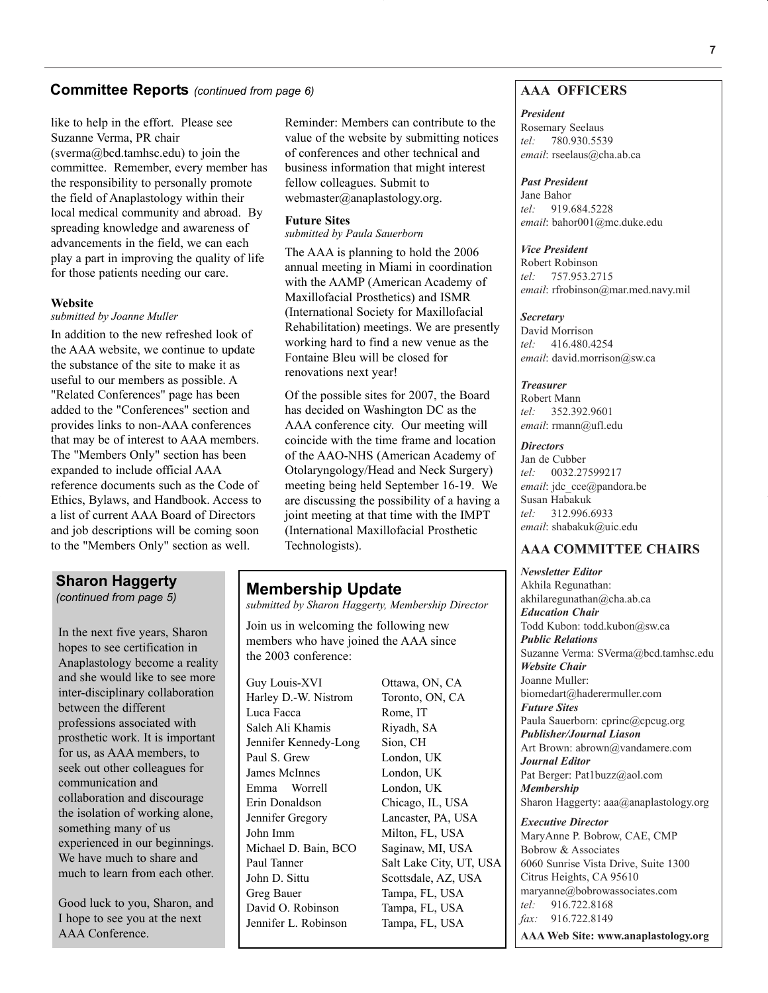### **Committee Reports** *(continued from page 6)*

like to help in the effort. Please see Suzanne Verma, PR chair (sverma@bcd.tamhsc.edu) to join the committee. Remember, every member has the responsibility to personally promote the field of Anaplastology within their local medical community and abroad. By spreading knowledge and awareness of advancements in the field, we can each play a part in improving the quality of life for those patients needing our care.

#### **Website**

#### *submitted by Joanne Muller*

In addition to the new refreshed look of the AAA website, we continue to update the substance of the site to make it as useful to our members as possible. A "Related Conferences" page has been added to the "Conferences" section and provides links to non-AAA conferences that may be of interest to AAA members. The "Members Only" section has been expanded to include official AAA reference documents such as the Code of Ethics, Bylaws, and Handbook. Access to a list of current AAA Board of Directors and job descriptions will be coming soon to the "Members Only" section as well.

## **Sharon Haggerty**

*(continued from page 5)*

In the next five years, Sharon hopes to see certification in Anaplastology become a reality and she would like to see more inter-disciplinary collaboration between the different professions associated with prosthetic work. It is important for us, as AAA members, to seek out other colleagues for communication and collaboration and discourage the isolation of working alone, something many of us experienced in our beginnings. We have much to share and much to learn from each other.

Good luck to you, Sharon, and I hope to see you at the next AAA Conference.

Reminder: Members can contribute to the value of the website by submitting notices of conferences and other technical and business information that might interest fellow colleagues. Submit to webmaster@anaplastology.org.

#### **Future Sites**

*submitted by Paula Sauerborn*

The AAA is planning to hold the 2006 annual meeting in Miami in coordination with the AAMP (American Academy of Maxillofacial Prosthetics) and ISMR (International Society for Maxillofacial Rehabilitation) meetings. We are presently working hard to find a new venue as the Fontaine Bleu will be closed for renovations next year!

Of the possible sites for 2007, the Board has decided on Washington DC as the AAA conference city. Our meeting will coincide with the time frame and location of the AAO-NHS (American Academy of Otolaryngology/Head and Neck Surgery) meeting being held September 16-19. We are discussing the possibility of a having a joint meeting at that time with the IMPT (International Maxillofacial Prosthetic Technologists).

## **Membership Update**

*submitted by Sharon Haggerty, Membership Director*

Join us in welcoming the following new members who have joined the AAA since the 2003 conference:

Guy Louis-XVI Ottawa, ON, CA Harley D.-W. Nistrom Toronto, ON, CA Luca Facca Rome, IT Saleh Ali Khamis Riyadh, SA Jennifer Kennedy-Long Sion, CH Paul S. Grew London, UK James McInnes London, UK Emma Worrell London, UK Erin Donaldson Chicago, IL, USA Jennifer Gregory Lancaster, PA, USA John Imm Milton, FL, USA Michael D. Bain, BCO Saginaw, MI, USA Paul Tanner Salt Lake City, UT, USA John D. Sittu Scottsdale, AZ, USA Greg Bauer Tampa, FL, USA David O. Robinson Tampa, FL, USA Jennifer L. Robinson Tampa, FL, USA

## **AAA OFFICERS**

#### *President*

Rosemary Seelaus *tel:* 780.930.5539 *email*: rseelaus@cha.ab.ca

#### *Past President*

Jane Bahor *tel:* 919.684.5228 *email*: bahor001@mc.duke.edu

#### *Vice President*

Robert Robinson *tel:* 757.953.2715 email: rfrobinson@mar.med.navy.mil

#### *Secretary*

David Morrison *tel:* 416.480.4254 *email*: david.morrison@sw.ca

#### *Treasurer*

Robert Mann *tel:* 352.392.9601 *email*: rmann@ufl.edu

#### *Directors*

Jan de Cubber *tel:* 0032.27599217 *email*: jdc\_cce@pandora.be Susan Habakuk *tel:* 312.996.6933 *email*: shabakuk@uic.edu

#### **AAA COMMITTEE CHAIRS**

*Newsletter Editor* Akhila Regunathan: akhilaregunathan@cha.ab.ca *Education Chair* Todd Kubon: todd.kubon@sw.ca *Public Relations* Suzanne Verma: SVerma@bcd.tamhsc.edu *Website Chair* Joanne Muller: biomedart@haderermuller.com *Future Sites* Paula Sauerborn: cprinc@cpcug.org *Publisher/Journal Liason* Art Brown: abrown@vandamere.com *Journal Editor* Pat Berger: Pat1buzz@aol.com *Membership* Sharon Haggerty: aaa@anaplastology.org

*Executive Director* MaryAnne P. Bobrow, CAE, CMP Bobrow & Associates 6060 Sunrise Vista Drive, Suite 1300 Citrus Heights, CA 95610 maryanne@bobrowassociates.com *tel:* 916.722.8168 *fax:* 916.722.8149 **AAA Web Site: www.anaplastology.org**